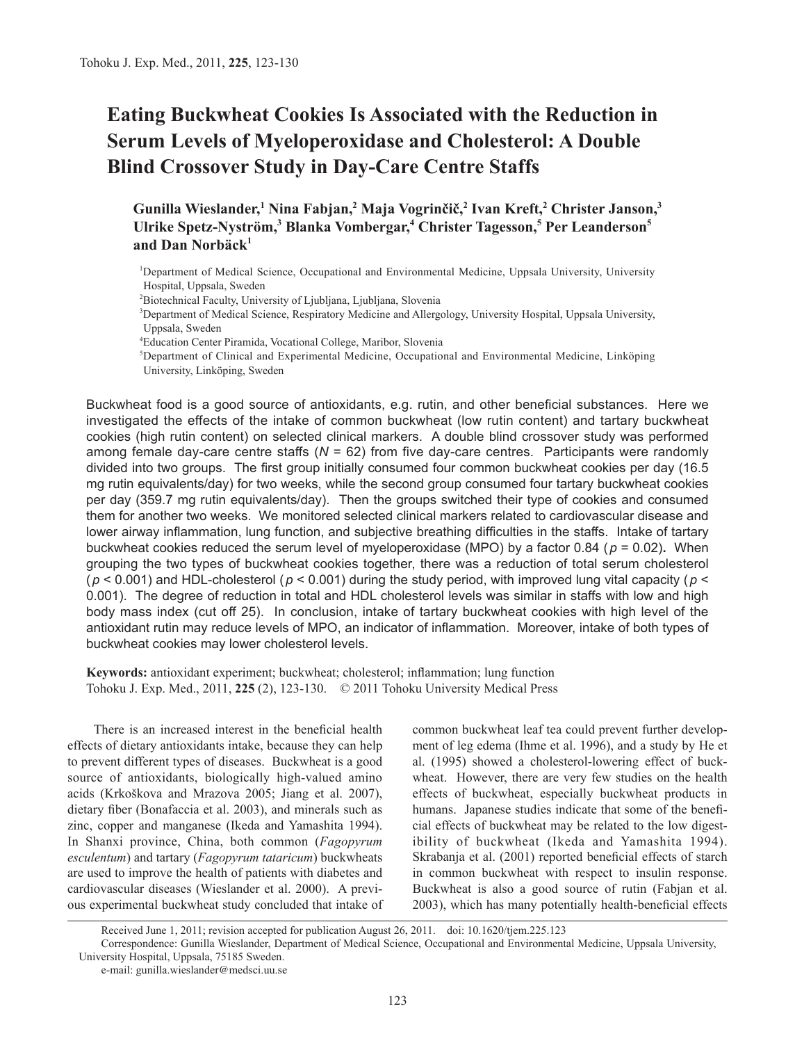# **Eating Buckwheat Cookies Is Associated with the Reduction in Serum Levels of Myeloperoxidase and Cholesterol: A Double Blind Crossover Study in Day-Care Centre Staffs**

**Gunilla Wieslander,<sup>1</sup> Nina Fabjan,2 Maja Vogrinčič,<sup>2</sup> Ivan Kreft,2 Christer Janson,3 Ulrike Spetz-Nyström,3 Blanka Vombergar,<sup>4</sup> Christer Tagesson,<sup>5</sup> Per Leanderson5 and Dan Norbäck<sup>1</sup>**

1 Department of Medical Science, Occupational and Environmental Medicine, Uppsala University, University Hospital, Uppsala, Sweden

2 Biotechnical Faculty, University of Ljubljana, Ljubljana, Slovenia

3 Department of Medical Science, Respiratory Medicine and Allergology, University Hospital, Uppsala University, Uppsala, Sweden

4 Education Center Piramida, Vocational College, Maribor, Slovenia

5 Department of Clinical and Experimental Medicine, Occupational and Environmental Medicine, Linköping University, Linköping, Sweden

Buckwheat food is a good source of antioxidants, e.g. rutin, and other beneficial substances. Here we investigated the effects of the intake of common buckwheat (low rutin content) and tartary buckwheat cookies (high rutin content) on selected clinical markers. A double blind crossover study was performed among female day-care centre staffs (*N* = 62) from five day-care centres. Participants were randomly divided into two groups. The first group initially consumed four common buckwheat cookies per day (16.5 mg rutin equivalents/day) for two weeks, while the second group consumed four tartary buckwheat cookies per day (359.7 mg rutin equivalents/day). Then the groups switched their type of cookies and consumed them for another two weeks. We monitored selected clinical markers related to cardiovascular disease and lower airway inflammation, lung function, and subjective breathing difficulties in the staffs. Intake of tartary buckwheat cookies reduced the serum level of myeloperoxidase (MPO) by a factor 0.84 (*p* = 0.02)**.** When grouping the two types of buckwheat cookies together, there was a reduction of total serum cholesterol ( $p$  < 0.001) and HDL-cholesterol ( $p$  < 0.001) during the study period, with improved lung vital capacity ( $p$  < 0.001). The degree of reduction in total and HDL cholesterol levels was similar in staffs with low and high body mass index (cut off 25). In conclusion, intake of tartary buckwheat cookies with high level of the antioxidant rutin may reduce levels of MPO, an indicator of inflammation. Moreover, intake of both types of buckwheat cookies may lower cholesterol levels.

**Keywords:** antioxidant experiment; buckwheat; cholesterol; inflammation; lung function Tohoku J. Exp. Med., 2011, **225** (2), 123-130. © 2011 Tohoku University Medical Press

There is an increased interest in the beneficial health effects of dietary antioxidants intake, because they can help to prevent different types of diseases. Buckwheat is a good source of antioxidants, biologically high-valued amino acids (Krkoškova and Mrazova 2005; Jiang et al. 2007), dietary fiber (Bonafaccia et al. 2003), and minerals such as zinc, copper and manganese (Ikeda and Yamashita 1994). In Shanxi province, China, both common (*Fagopyrum esculentum*) and tartary (*Fagopyrum tataricum*) buckwheats are used to improve the health of patients with diabetes and cardiovascular diseases (Wieslander et al. 2000). A previous experimental buckwheat study concluded that intake of common buckwheat leaf tea could prevent further development of leg edema (Ihme et al. 1996), and a study by He et al. (1995) showed a cholesterol-lowering effect of buckwheat. However, there are very few studies on the health effects of buckwheat, especially buckwheat products in humans. Japanese studies indicate that some of the beneficial effects of buckwheat may be related to the low digestibility of buckwheat (Ikeda and Yamashita 1994). Skrabanja et al. (2001) reported beneficial effects of starch in common buckwheat with respect to insulin response. Buckwheat is also a good source of rutin (Fabjan et al. 2003), which has many potentially health-beneficial effects

Received June 1, 2011; revision accepted for publication August 26, 2011. doi: 10.1620/tjem.225.123

Correspondence: Gunilla Wieslander, Department of Medical Science, Occupational and Environmental Medicine, Uppsala University, University Hospital, Uppsala, 75185 Sweden.

e-mail: gunilla.wieslander@medsci.uu.se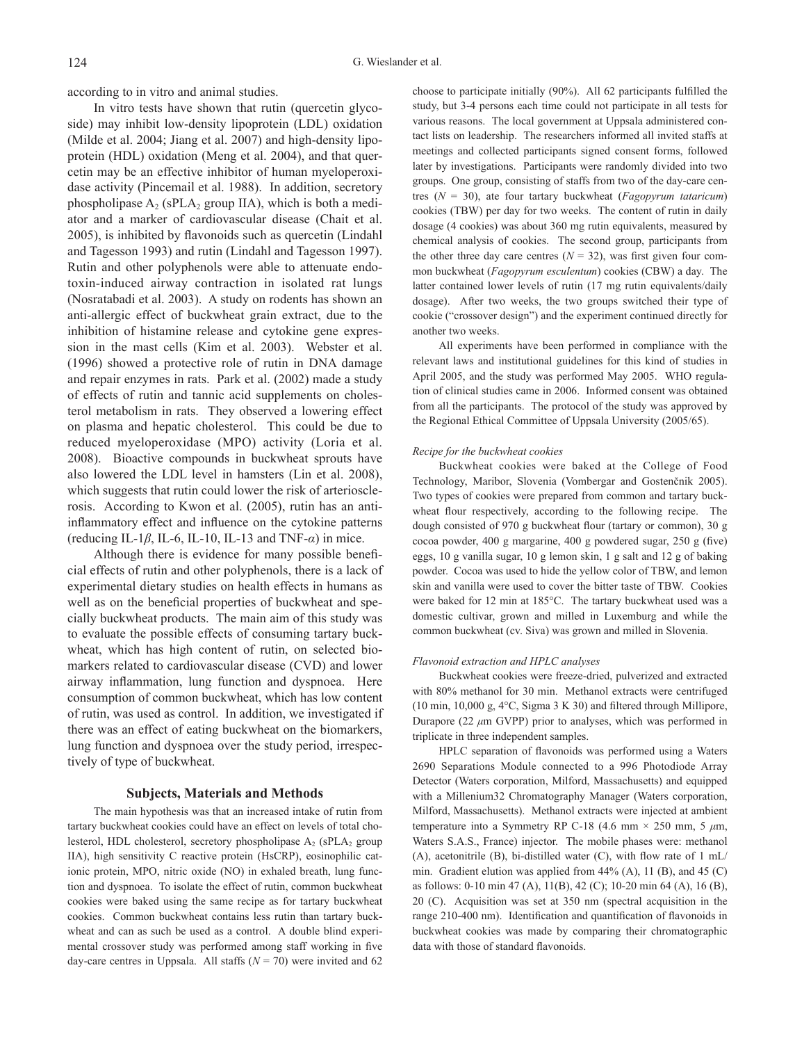according to in vitro and animal studies.

In vitro tests have shown that rutin (quercetin glycoside) may inhibit low-density lipoprotein (LDL) oxidation (Milde et al. 2004; Jiang et al. 2007) and high-density lipoprotein (HDL) oxidation (Meng et al. 2004), and that quercetin may be an effective inhibitor of human myeloperoxidase activity (Pincemail et al. 1988). In addition, secretory phospholipase  $A_2$  (sPLA<sub>2</sub> group IIA), which is both a mediator and a marker of cardiovascular disease (Chait et al. 2005), is inhibited by flavonoids such as quercetin (Lindahl and Tagesson 1993) and rutin (Lindahl and Tagesson 1997). Rutin and other polyphenols were able to attenuate endotoxin-induced airway contraction in isolated rat lungs (Nosratabadi et al. 2003). A study on rodents has shown an anti-allergic effect of buckwheat grain extract, due to the inhibition of histamine release and cytokine gene expression in the mast cells (Kim et al. 2003). Webster et al. (1996) showed a protective role of rutin in DNA damage and repair enzymes in rats. Park et al. (2002) made a study of effects of rutin and tannic acid supplements on cholesterol metabolism in rats. They observed a lowering effect on plasma and hepatic cholesterol. This could be due to reduced myeloperoxidase (MPO) activity (Loria et al. 2008). Bioactive compounds in buckwheat sprouts have also lowered the LDL level in hamsters (Lin et al. 2008), which suggests that rutin could lower the risk of arteriosclerosis. According to Kwon et al. (2005), rutin has an antiinflammatory effect and influence on the cytokine patterns (reducing IL-1*β*, IL-6, IL-10, IL-13 and TNF-*α*) in mice.

Although there is evidence for many possible beneficial effects of rutin and other polyphenols, there is a lack of experimental dietary studies on health effects in humans as well as on the beneficial properties of buckwheat and specially buckwheat products. The main aim of this study was to evaluate the possible effects of consuming tartary buckwheat, which has high content of rutin, on selected biomarkers related to cardiovascular disease (CVD) and lower airway inflammation, lung function and dyspnoea. Here consumption of common buckwheat, which has low content of rutin, was used as control. In addition, we investigated if there was an effect of eating buckwheat on the biomarkers, lung function and dyspnoea over the study period, irrespectively of type of buckwheat.

## **Subjects, Materials and Methods**

The main hypothesis was that an increased intake of rutin from tartary buckwheat cookies could have an effect on levels of total cholesterol, HDL cholesterol, secretory phospholipase  $A_2$  (sPL $A_2$  group IIA), high sensitivity C reactive protein (HsCRP), eosinophilic cationic protein, MPO, nitric oxide (NO) in exhaled breath, lung function and dyspnoea. To isolate the effect of rutin, common buckwheat cookies were baked using the same recipe as for tartary buckwheat cookies. Common buckwheat contains less rutin than tartary buckwheat and can as such be used as a control. A double blind experimental crossover study was performed among staff working in five day-care centres in Uppsala. All staffs  $(N = 70)$  were invited and 62

choose to participate initially (90%). All 62 participants fulfilled the study, but 3-4 persons each time could not participate in all tests for various reasons. The local government at Uppsala administered contact lists on leadership. The researchers informed all invited staffs at meetings and collected participants signed consent forms, followed later by investigations. Participants were randomly divided into two groups. One group, consisting of staffs from two of the day-care centres (*N* = 30), ate four tartary buckwheat (*Fagopyrum tataricum*) cookies (TBW) per day for two weeks. The content of rutin in daily dosage (4 cookies) was about 360 mg rutin equivalents, measured by chemical analysis of cookies. The second group, participants from the other three day care centres  $(N = 32)$ , was first given four common buckwheat (*Fagopyrum esculentum*) cookies (CBW) a day. The latter contained lower levels of rutin (17 mg rutin equivalents/daily dosage). After two weeks, the two groups switched their type of cookie ("crossover design") and the experiment continued directly for another two weeks.

All experiments have been performed in compliance with the relevant laws and institutional guidelines for this kind of studies in April 2005, and the study was performed May 2005. WHO regulation of clinical studies came in 2006. Informed consent was obtained from all the participants. The protocol of the study was approved by the Regional Ethical Committee of Uppsala University (2005/65).

#### *Recipe for the buckwheat cookies*

Buckwheat cookies were baked at the College of Food Technology, Maribor, Slovenia (Vombergar and Gostenčnik 2005). Two types of cookies were prepared from common and tartary buckwheat flour respectively, according to the following recipe. The dough consisted of 970 g buckwheat flour (tartary or common), 30 g cocoa powder, 400 g margarine, 400 g powdered sugar, 250 g (five) eggs, 10 g vanilla sugar, 10 g lemon skin, 1 g salt and 12 g of baking powder. Cocoa was used to hide the yellow color of TBW, and lemon skin and vanilla were used to cover the bitter taste of TBW. Cookies were baked for 12 min at 185°C. The tartary buckwheat used was a domestic cultivar, grown and milled in Luxemburg and while the common buckwheat (cv. Siva) was grown and milled in Slovenia.

#### *Flavonoid extraction and HPLC analyses*

Buckwheat cookies were freeze-dried, pulverized and extracted with 80% methanol for 30 min. Methanol extracts were centrifuged (10 min, 10,000 g, 4°C, Sigma 3 K 30) and filtered through Millipore, Durapore (22 *μ*m GVPP) prior to analyses, which was performed in triplicate in three independent samples.

HPLC separation of flavonoids was performed using a Waters 2690 Separations Module connected to a 996 Photodiode Array Detector (Waters corporation, Milford, Massachusetts) and equipped with a Millenium32 Chromatography Manager (Waters corporation, Milford, Massachusetts). Methanol extracts were injected at ambient temperature into a Symmetry RP C-18 (4.6 mm × 250 mm, 5 *μ*m, Waters S.A.S., France) injector. The mobile phases were: methanol (A), acetonitrile (B), bi-distilled water (C), with flow rate of 1 mL/ min. Gradient elution was applied from 44% (A), 11 (B), and 45 (C) as follows: 0-10 min 47 (A), 11(B), 42 (C); 10-20 min 64 (A), 16 (B), 20 (C). Acquisition was set at 350 nm (spectral acquisition in the range 210-400 nm). Identification and quantification of flavonoids in buckwheat cookies was made by comparing their chromatographic data with those of standard flavonoids.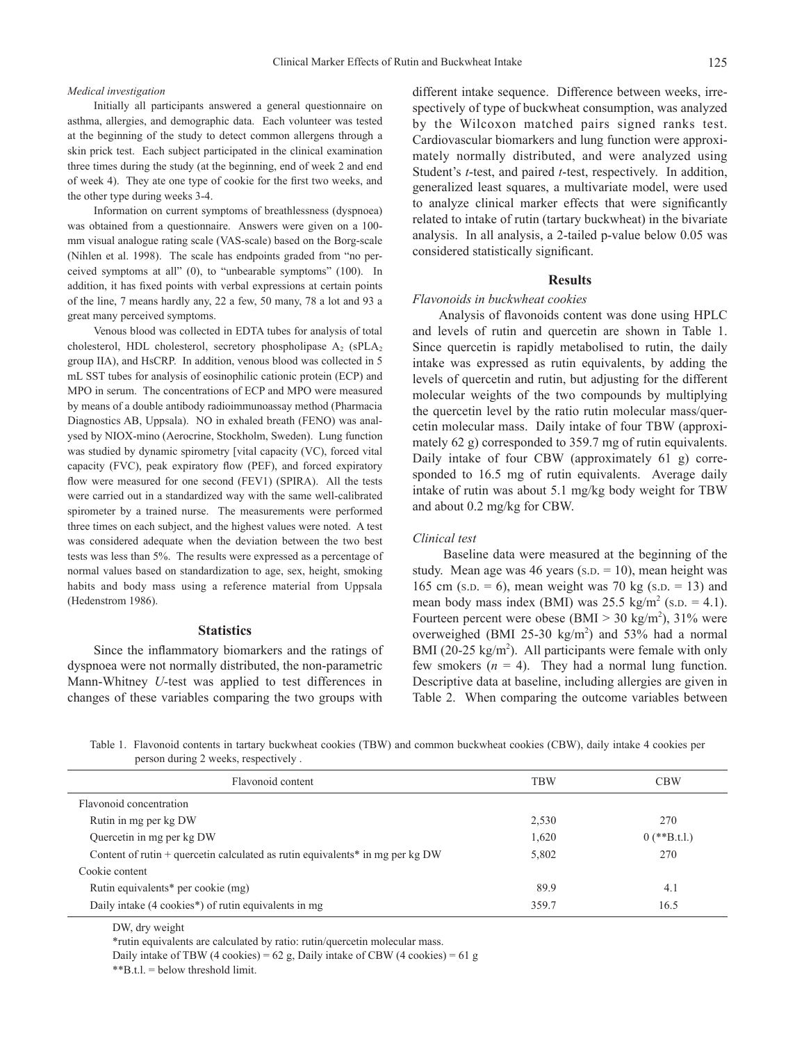#### *Medical investigation*

Initially all participants answered a general questionnaire on asthma, allergies, and demographic data. Each volunteer was tested at the beginning of the study to detect common allergens through a skin prick test. Each subject participated in the clinical examination three times during the study (at the beginning, end of week 2 and end of week 4). They ate one type of cookie for the first two weeks, and the other type during weeks 3-4.

Information on current symptoms of breathlessness (dyspnoea) was obtained from a questionnaire. Answers were given on a 100 mm visual analogue rating scale (VAS-scale) based on the Borg-scale (Nihlen et al. 1998). The scale has endpoints graded from "no perceived symptoms at all" (0), to "unbearable symptoms" (100). In addition, it has fixed points with verbal expressions at certain points of the line, 7 means hardly any, 22 a few, 50 many, 78 a lot and 93 a great many perceived symptoms.

Venous blood was collected in EDTA tubes for analysis of total cholesterol, HDL cholesterol, secretory phospholipase  $A_2$  (sPL $A_2$ ) group IIA), and HsCRP. In addition, venous blood was collected in 5 mL SST tubes for analysis of eosinophilic cationic protein (ECP) and MPO in serum. The concentrations of ECP and MPO were measured by means of a double antibody radioimmunoassay method (Pharmacia Diagnostics AB, Uppsala). NO in exhaled breath (FENO) was analysed by NIOX-mino (Aerocrine, Stockholm, Sweden). Lung function was studied by dynamic spirometry [vital capacity (VC), forced vital capacity (FVC), peak expiratory flow (PEF), and forced expiratory flow were measured for one second (FEV1) (SPIRA). All the tests were carried out in a standardized way with the same well-calibrated spirometer by a trained nurse. The measurements were performed three times on each subject, and the highest values were noted. A test was considered adequate when the deviation between the two best tests was less than 5%. The results were expressed as a percentage of normal values based on standardization to age, sex, height, smoking habits and body mass using a reference material from Uppsala (Hedenstrom 1986).

## **Statistics**

Since the inflammatory biomarkers and the ratings of dyspnoea were not normally distributed, the non-parametric Mann-Whitney *U*-test was applied to test differences in changes of these variables comparing the two groups with different intake sequence. Difference between weeks, irrespectively of type of buckwheat consumption, was analyzed by the Wilcoxon matched pairs signed ranks test. Cardiovascular biomarkers and lung function were approximately normally distributed, and were analyzed using Student's *t*-test, and paired *t*-test, respectively. In addition, generalized least squares, a multivariate model, were used to analyze clinical marker effects that were significantly related to intake of rutin (tartary buckwheat) in the bivariate analysis. In all analysis, a 2-tailed p-value below 0.05 was considered statistically significant.

## **Results**

## *Flavonoids in buckwheat cookies*

Analysis of flavonoids content was done using HPLC and levels of rutin and quercetin are shown in Table 1. Since quercetin is rapidly metabolised to rutin, the daily intake was expressed as rutin equivalents, by adding the levels of quercetin and rutin, but adjusting for the different molecular weights of the two compounds by multiplying the quercetin level by the ratio rutin molecular mass/quercetin molecular mass. Daily intake of four TBW (approximately 62 g) corresponded to 359.7 mg of rutin equivalents. Daily intake of four CBW (approximately 61 g) corresponded to 16.5 mg of rutin equivalents. Average daily intake of rutin was about 5.1 mg/kg body weight for TBW and about 0.2 mg/kg for CBW.

## *Clinical test*

 Baseline data were measured at the beginning of the study. Mean age was 46 years (s.p.  $= 10$ ), mean height was 165 cm (s.p.  $= 6$ ), mean weight was 70 kg (s.p.  $= 13$ ) and mean body mass index (BMI) was  $25.5 \text{ kg/m}^2 \text{ (s.p. } = 4.1)$ . Fourteen percent were obese  $(BMI > 30 \text{ kg/m}^2)$ , 31% were overweighed (BMI 25-30  $\text{kg/m}^2$ ) and 53% had a normal BMI (20-25  $\text{kg/m}^2$ ). All participants were female with only few smokers  $(n = 4)$ . They had a normal lung function. Descriptive data at baseline, including allergies are given in Table 2. When comparing the outcome variables between

Table 1. Flavonoid contents in tartary buckwheat cookies (TBW) and common buckwheat cookies (CBW), daily intake 4 cookies per person during 2 weeks, respectively .

| Flavonoid content                                                                          | <b>TBW</b> | <b>CBW</b>     |
|--------------------------------------------------------------------------------------------|------------|----------------|
| Flavonoid concentration                                                                    |            |                |
| Rutin in mg per kg DW                                                                      | 2,530      | 270            |
| Quercetin in mg per kg DW                                                                  | 1,620      | $0$ (**B.t.l.) |
| Content of rutin + quercetin calculated as rutin equivalents <sup>*</sup> in mg per $kgDW$ | 5,802      | 270            |
| Cookie content                                                                             |            |                |
| Rutin equivalents <sup>*</sup> per cookie (mg)                                             | 89.9       | 4.1            |
| Daily intake (4 cookies*) of rutin equivalents in mg                                       | 359.7      | 16.5           |
|                                                                                            |            |                |

DW, dry weight

\*rutin equivalents are calculated by ratio: rutin/quercetin molecular mass.

Daily intake of TBW (4 cookies) =  $62$  g, Daily intake of CBW (4 cookies) =  $61$  g  $*$ <sup>8</sup>B.t.l. = below threshold limit.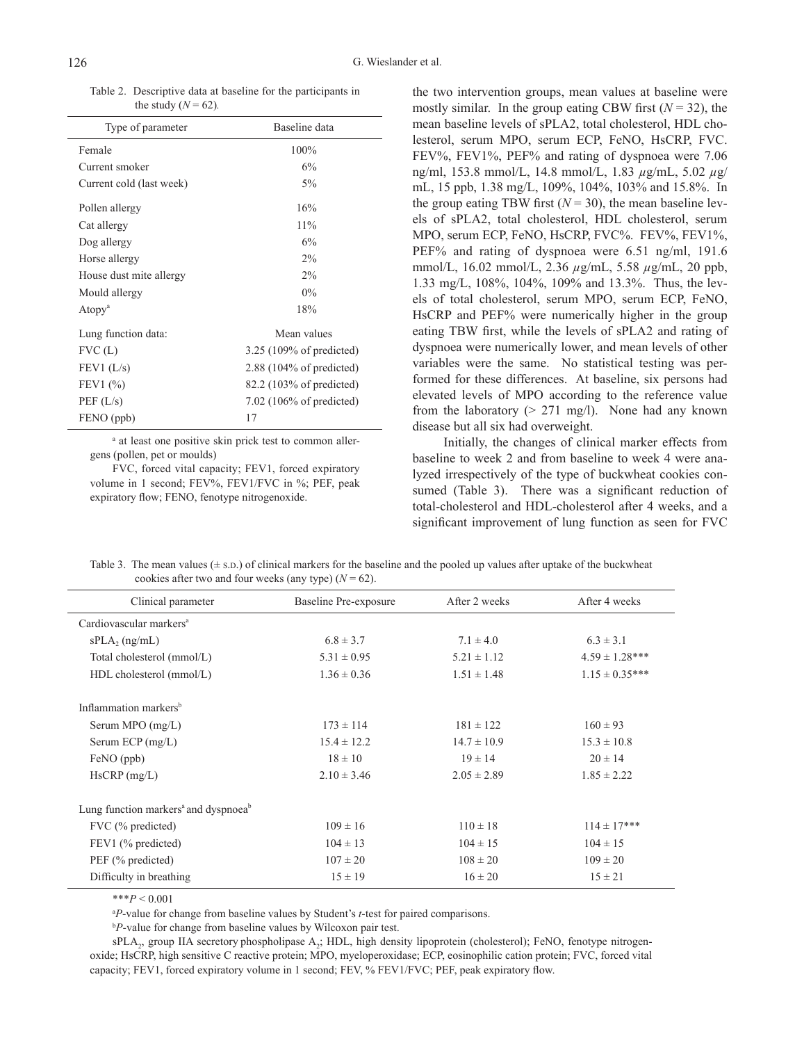Table 2. Descriptive data at baseline for the participants in the study ( $N = 62$ ).

| Type of parameter        | Baseline data              |
|--------------------------|----------------------------|
| Female                   | 100%                       |
| Current smoker           | 6%                         |
| Current cold (last week) | $5\%$                      |
| Pollen allergy           | 16%                        |
| Cat allergy              | 11%                        |
| Dog allergy              | 6%                         |
| Horse allergy            | $2\%$                      |
| House dust mite allergy  | $2\%$                      |
| Mould allergy            | $0\%$                      |
| Atopy <sup>a</sup>       | 18%                        |
| Lung function data:      | Mean values                |
| FVC(L)                   | $3.25$ (109% of predicted) |
| FEV1 (L/s)               | $2.88$ (104% of predicted) |
| FEV1(%)                  | 82.2 (103% of predicted)   |
| PEF(L/s)                 | $7.02$ (106% of predicted) |
| FENO (ppb)               | 17                         |

a at least one positive skin prick test to common allergens (pollen, pet or moulds)

FVC, forced vital capacity; FEV1, forced expiratory volume in 1 second; FEV%, FEV1/FVC in %; PEF, peak expiratory flow; FENO, fenotype nitrogenoxide.

the two intervention groups, mean values at baseline were mostly similar. In the group eating CBW first  $(N = 32)$ , the mean baseline levels of sPLA2, total cholesterol, HDL cholesterol, serum MPO, serum ECP, FeNO, HsCRP, FVC. FEV%, FEV1%, PEF% and rating of dyspnoea were 7.06 ng/ml, 153.8 mmol/L, 14.8 mmol/L, 1.83 *µ*g/mL, 5.02 *µ*g/ mL, 15 ppb, 1.38 mg/L, 109%, 104%, 103% and 15.8%. In the group eating TBW first  $(N = 30)$ , the mean baseline levels of sPLA2, total cholesterol, HDL cholesterol, serum MPO, serum ECP, FeNO, HsCRP, FVC%. FEV%, FEV1%, PEF% and rating of dyspnoea were 6.51 ng/ml, 191.6 mmol/L, 16.02 mmol/L, 2.36 *µ*g/mL, 5.58 *µ*g/mL, 20 ppb, 1.33 mg/L, 108%, 104%, 109% and 13.3%. Thus, the levels of total cholesterol, serum MPO, serum ECP, FeNO, HsCRP and PEF% were numerically higher in the group eating TBW first, while the levels of sPLA2 and rating of dyspnoea were numerically lower, and mean levels of other variables were the same. No statistical testing was performed for these differences. At baseline, six persons had elevated levels of MPO according to the reference value from the laboratory ( $> 271$  mg/l). None had any known disease but all six had overweight.

 Initially, the changes of clinical marker effects from baseline to week 2 and from baseline to week 4 were analyzed irrespectively of the type of buckwheat cookies consumed (Table 3). There was a significant reduction of total-cholesterol and HDL-cholesterol after 4 weeks, and a significant improvement of lung function as seen for FVC

Table 3. The mean values  $(\pm s.D.)$  of clinical markers for the baseline and the pooled up values after uptake of the buckwheat cookies after two and four weeks (any type)  $(N = 62)$ .

| Clinical parameter                                           | After 2 weeks<br>Baseline Pre-exposure |                 | After 4 weeks      |  |  |  |  |  |
|--------------------------------------------------------------|----------------------------------------|-----------------|--------------------|--|--|--|--|--|
| Cardiovascular markers <sup>a</sup>                          |                                        |                 |                    |  |  |  |  |  |
| $sPLA_2$ (ng/mL)                                             | $6.8 \pm 3.7$                          | $7.1 \pm 4.0$   | $6.3 \pm 3.1$      |  |  |  |  |  |
| Total cholesterol (mmol/L)                                   | $5.31 \pm 0.95$                        | $5.21 \pm 1.12$ | $4.59 \pm 1.28***$ |  |  |  |  |  |
| HDL cholesterol (mmol/L)                                     | $1.36 \pm 0.36$                        | $1.51 \pm 1.48$ | $1.15 \pm 0.35***$ |  |  |  |  |  |
| Inflammation markers <sup>b</sup>                            |                                        |                 |                    |  |  |  |  |  |
| Serum MPO $(mg/L)$                                           | $173 \pm 114$                          | $181 \pm 122$   | $160 \pm 93$       |  |  |  |  |  |
| Serum ECP $(mg/L)$                                           | $15.4 \pm 12.2$                        | $14.7 \pm 10.9$ | $15.3 \pm 10.8$    |  |  |  |  |  |
| FeNO (ppb)                                                   | $18 \pm 10$                            | $19 \pm 14$     | $20 \pm 14$        |  |  |  |  |  |
| $HsCRP$ (mg/L)                                               | $2.10 \pm 3.46$                        | $2.05 \pm 2.89$ | $1.85 \pm 2.22$    |  |  |  |  |  |
| Lung function markers <sup>a</sup> and dyspnoea <sup>b</sup> |                                        |                 |                    |  |  |  |  |  |
| FVC (% predicted)                                            | $109 \pm 16$                           | $110 \pm 18$    | $114 \pm 17***$    |  |  |  |  |  |
| FEV1 (% predicted)                                           | $104 \pm 13$                           | $104 \pm 15$    | $104 \pm 15$       |  |  |  |  |  |
| PEF (% predicted)                                            | $107 \pm 20$                           | $108 \pm 20$    | $109 \pm 20$       |  |  |  |  |  |
| Difficulty in breathing                                      | $15 \pm 19$                            | $16 \pm 20$     | $15 \pm 21$        |  |  |  |  |  |
|                                                              |                                        |                 |                    |  |  |  |  |  |

\*\*\**P* < 0.001

a *P*-value for change from baseline values by Student's *t*-test for paired comparisons.

<sup>b</sup>*P*-value for change from baseline values by Wilcoxon pair test.

sPLA<sub>2</sub>, group IIA secretory phospholipase A<sub>2</sub>; HDL, high density lipoprotein (cholesterol); FeNO, fenotype nitrogenoxide; HsCRP, high sensitive C reactive protein; MPO, myeloperoxidase; ECP, eosinophilic cation protein; FVC, forced vital capacity; FEV1, forced expiratory volume in 1 second; FEV, % FEV1/FVC; PEF, peak expiratory flow.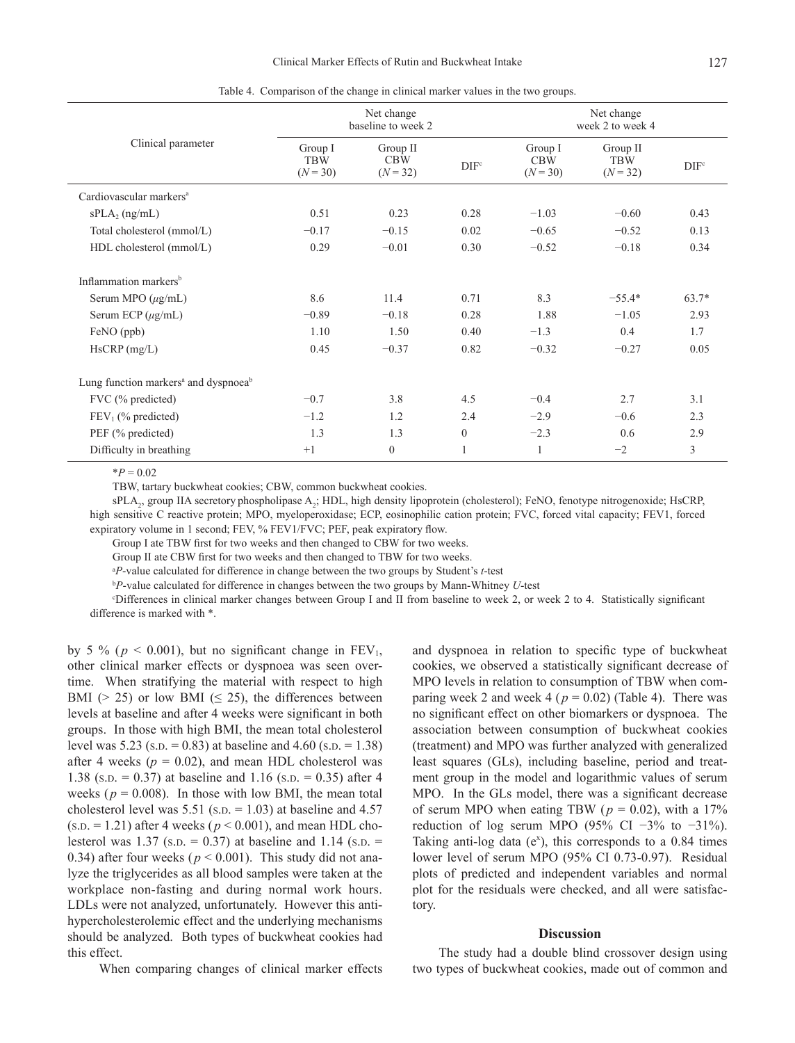| Clinical parameter                                           | Net change<br>baseline to week 2    |                                      |                  | Net change<br>week 2 to week 4      |                                      |                  |
|--------------------------------------------------------------|-------------------------------------|--------------------------------------|------------------|-------------------------------------|--------------------------------------|------------------|
|                                                              | Group I<br><b>TBW</b><br>$(N = 30)$ | Group II<br><b>CBW</b><br>$(N = 32)$ | DIF <sup>c</sup> | Group I<br><b>CBW</b><br>$(N = 30)$ | Group II<br><b>TBW</b><br>$(N = 32)$ | DIF <sup>c</sup> |
| Cardiovascular markers <sup>a</sup>                          |                                     |                                      |                  |                                     |                                      |                  |
| $sPLA_2$ (ng/mL)                                             | 0.51                                | 0.23                                 | 0.28             | $-1.03$                             | $-0.60$                              | 0.43             |
| Total cholesterol (mmol/L)                                   | $-0.17$                             | $-0.15$                              | 0.02             | $-0.65$                             | $-0.52$                              | 0.13             |
| HDL cholesterol (mmol/L)                                     | 0.29                                | $-0.01$                              | 0.30             | $-0.52$                             | $-0.18$                              | 0.34             |
| Inflammation markers <sup>b</sup>                            |                                     |                                      |                  |                                     |                                      |                  |
| Serum MPO $(\mu g/mL)$                                       | 8.6                                 | 11.4                                 | 0.71             | 8.3                                 | $-55.4*$                             | $63.7*$          |
| Serum ECP $(\mu g/mL)$                                       | $-0.89$                             | $-0.18$                              | 0.28             | 1.88                                | $-1.05$                              | 2.93             |
| FeNO (ppb)                                                   | 1.10                                | 1.50                                 | 0.40             | $-1.3$                              | 0.4                                  | 1.7              |
| HsCRP(mg/L)                                                  | 0.45                                | $-0.37$                              | 0.82             | $-0.32$                             | $-0.27$                              | 0.05             |
| Lung function markers <sup>a</sup> and dyspnoea <sup>b</sup> |                                     |                                      |                  |                                     |                                      |                  |
| FVC (% predicted)                                            | $-0.7$                              | 3.8                                  | 4.5              | $-0.4$                              | 2.7                                  | 3.1              |
| $FEV1$ (% predicted)                                         | $-1.2$                              | 1.2                                  | 2.4              | $-2.9$                              | $-0.6$                               | 2.3              |
| PEF (% predicted)                                            | 1.3                                 | 1.3                                  | $\Omega$         | $-2.3$                              | 0.6                                  | 2.9              |
| Difficulty in breathing                                      | $+1$                                | $\overline{0}$                       |                  |                                     | $-2$                                 | 3                |

Table 4. Comparison of the change in clinical marker values in the two groups.

 $*P = 0.02$ 

TBW, tartary buckwheat cookies; CBW, common buckwheat cookies.

sPLA<sub>2</sub>, group IIA secretory phospholipase A<sub>2</sub>; HDL, high density lipoprotein (cholesterol); FeNO, fenotype nitrogenoxide; HsCRP, high sensitive C reactive protein; MPO, myeloperoxidase; ECP, eosinophilic cation protein; FVC, forced vital capacity; FEV1, forced expiratory volume in 1 second; FEV, % FEV1/FVC; PEF, peak expiratory flow.

Group I ate TBW first for two weeks and then changed to CBW for two weeks.

Group II ate CBW first for two weeks and then changed to TBW for two weeks.

a *P*-value calculated for difference in change between the two groups by Student's *t*-test

<sup>b</sup>*P*-value calculated for difference in changes between the two groups by Mann-Whitney *U*-test

c Differences in clinical marker changes between Group I and II from baseline to week 2, or week 2 to 4. Statistically significant difference is marked with \*.

by 5 % ( $p < 0.001$ ), but no significant change in  $FEV_1$ , other clinical marker effects or dyspnoea was seen overtime. When stratifying the material with respect to high BMI ( $> 25$ ) or low BMI ( $\leq 25$ ), the differences between levels at baseline and after 4 weeks were significant in both groups. In those with high BMI, the mean total cholesterol level was  $5.23$  (s.p. = 0.83) at baseline and  $4.60$  (s.p. = 1.38) after 4 weeks ( $p = 0.02$ ), and mean HDL cholesterol was 1.38 (s.p. = 0.37) at baseline and 1.16 (s.p. = 0.35) after 4 weeks ( $p = 0.008$ ). In those with low BMI, the mean total cholesterol level was  $5.51$  (s.p. = 1.03) at baseline and 4.57  $(s.D. = 1.21)$  after 4 weeks ( $p < 0.001$ ), and mean HDL cholesterol was 1.37 (s.p.  $= 0.37$ ) at baseline and 1.14 (s.p.  $=$ 0.34) after four weeks ( $p < 0.001$ ). This study did not analyze the triglycerides as all blood samples were taken at the workplace non-fasting and during normal work hours. LDLs were not analyzed, unfortunately. However this antihypercholesterolemic effect and the underlying mechanisms should be analyzed. Both types of buckwheat cookies had this effect.

When comparing changes of clinical marker effects

and dyspnoea in relation to specific type of buckwheat cookies, we observed a statistically significant decrease of MPO levels in relation to consumption of TBW when comparing week 2 and week 4 ( $p = 0.02$ ) (Table 4). There was no significant effect on other biomarkers or dyspnoea. The association between consumption of buckwheat cookies (treatment) and MPO was further analyzed with generalized least squares (GLs), including baseline, period and treatment group in the model and logarithmic values of serum MPO. In the GLs model, there was a significant decrease of serum MPO when eating TBW ( $p = 0.02$ ), with a 17% reduction of log serum MPO (95% CI  $-3\%$  to  $-31\%$ ). Taking anti-log data ( $e^x$ ), this corresponds to a 0.84 times lower level of serum MPO (95% CI 0.73-0.97). Residual plots of predicted and independent variables and normal plot for the residuals were checked, and all were satisfactory.

### **Discussion**

The study had a double blind crossover design using two types of buckwheat cookies, made out of common and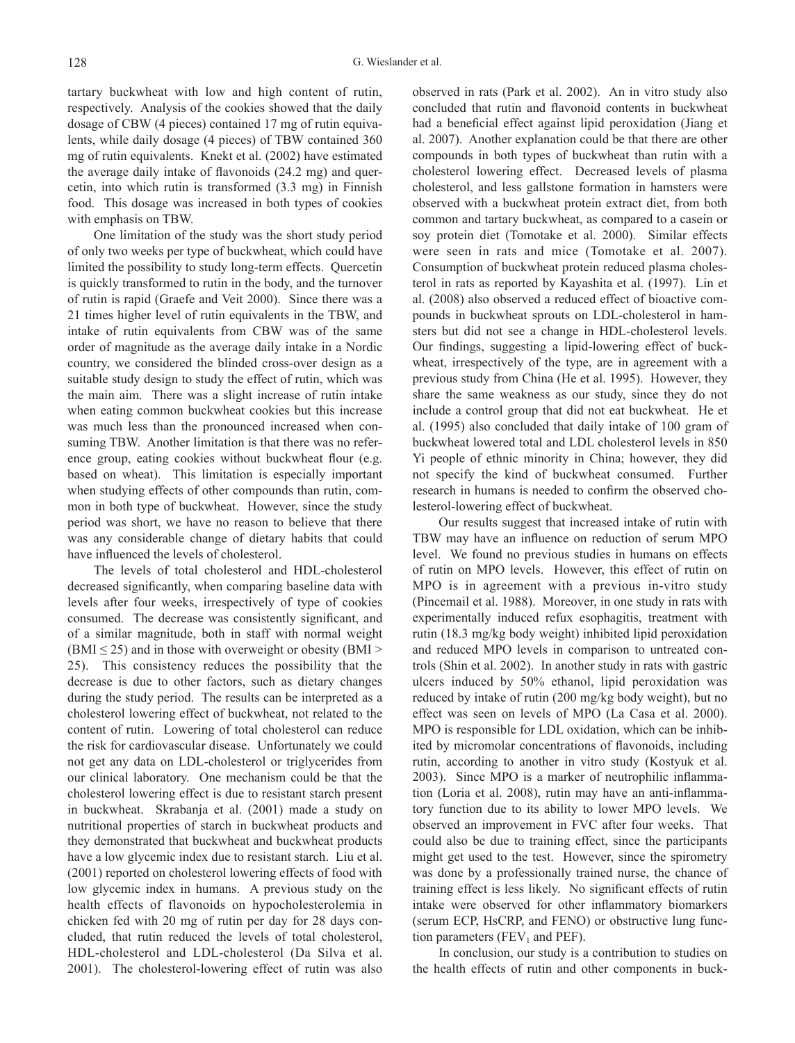tartary buckwheat with low and high content of rutin, respectively. Analysis of the cookies showed that the daily dosage of CBW (4 pieces) contained 17 mg of rutin equivalents, while daily dosage (4 pieces) of TBW contained 360 mg of rutin equivalents. Knekt et al. (2002) have estimated the average daily intake of flavonoids (24.2 mg) and quercetin, into which rutin is transformed (3.3 mg) in Finnish food. This dosage was increased in both types of cookies with emphasis on TBW.

One limitation of the study was the short study period of only two weeks per type of buckwheat, which could have limited the possibility to study long-term effects. Quercetin is quickly transformed to rutin in the body, and the turnover of rutin is rapid (Graefe and Veit 2000). Since there was a 21 times higher level of rutin equivalents in the TBW, and intake of rutin equivalents from CBW was of the same order of magnitude as the average daily intake in a Nordic country, we considered the blinded cross-over design as a suitable study design to study the effect of rutin, which was the main aim. There was a slight increase of rutin intake when eating common buckwheat cookies but this increase was much less than the pronounced increased when consuming TBW. Another limitation is that there was no reference group, eating cookies without buckwheat flour (e.g. based on wheat). This limitation is especially important when studying effects of other compounds than rutin, common in both type of buckwheat. However, since the study period was short, we have no reason to believe that there was any considerable change of dietary habits that could have influenced the levels of cholesterol.

The levels of total cholesterol and HDL-cholesterol decreased significantly, when comparing baseline data with levels after four weeks, irrespectively of type of cookies consumed. The decrease was consistently significant, and of a similar magnitude, both in staff with normal weight (BMI  $\leq$  25) and in those with overweight or obesity (BMI  $>$ 25). This consistency reduces the possibility that the decrease is due to other factors, such as dietary changes during the study period. The results can be interpreted as a cholesterol lowering effect of buckwheat, not related to the content of rutin. Lowering of total cholesterol can reduce the risk for cardiovascular disease. Unfortunately we could not get any data on LDL-cholesterol or triglycerides from our clinical laboratory. One mechanism could be that the cholesterol lowering effect is due to resistant starch present in buckwheat. Skrabanja et al. (2001) made a study on nutritional properties of starch in buckwheat products and they demonstrated that buckwheat and buckwheat products have a low glycemic index due to resistant starch. Liu et al. (2001) reported on cholesterol lowering effects of food with low glycemic index in humans. A previous study on the health effects of flavonoids on hypocholesterolemia in chicken fed with 20 mg of rutin per day for 28 days concluded, that rutin reduced the levels of total cholesterol, HDL-cholesterol and LDL-cholesterol (Da Silva et al. 2001). The cholesterol-lowering effect of rutin was also observed in rats (Park et al. 2002). An in vitro study also concluded that rutin and flavonoid contents in buckwheat had a beneficial effect against lipid peroxidation (Jiang et al. 2007). Another explanation could be that there are other compounds in both types of buckwheat than rutin with a cholesterol lowering effect. Decreased levels of plasma cholesterol, and less gallstone formation in hamsters were observed with a buckwheat protein extract diet, from both common and tartary buckwheat, as compared to a casein or soy protein diet (Tomotake et al. 2000). Similar effects were seen in rats and mice (Tomotake et al. 2007). Consumption of buckwheat protein reduced plasma cholesterol in rats as reported by Kayashita et al. (1997). Lin et al. (2008) also observed a reduced effect of bioactive compounds in buckwheat sprouts on LDL-cholesterol in hamsters but did not see a change in HDL-cholesterol levels. Our findings, suggesting a lipid-lowering effect of buckwheat, irrespectively of the type, are in agreement with a previous study from China (He et al. 1995). However, they share the same weakness as our study, since they do not include a control group that did not eat buckwheat. He et al. (1995) also concluded that daily intake of 100 gram of buckwheat lowered total and LDL cholesterol levels in 850 Yi people of ethnic minority in China; however, they did not specify the kind of buckwheat consumed. Further research in humans is needed to confirm the observed cholesterol-lowering effect of buckwheat.

Our results suggest that increased intake of rutin with TBW may have an influence on reduction of serum MPO level. We found no previous studies in humans on effects of rutin on MPO levels. However, this effect of rutin on MPO is in agreement with a previous in-vitro study (Pincemail et al. 1988). Moreover, in one study in rats with experimentally induced refux esophagitis, treatment with rutin (18.3 mg/kg body weight) inhibited lipid peroxidation and reduced MPO levels in comparison to untreated controls (Shin et al. 2002). In another study in rats with gastric ulcers induced by 50% ethanol, lipid peroxidation was reduced by intake of rutin (200 mg/kg body weight), but no effect was seen on levels of MPO (La Casa et al. 2000). MPO is responsible for LDL oxidation, which can be inhibited by micromolar concentrations of flavonoids, including rutin, according to another in vitro study (Kostyuk et al. 2003). Since MPO is a marker of neutrophilic inflammation (Loria et al. 2008), rutin may have an anti-inflammatory function due to its ability to lower MPO levels. We observed an improvement in FVC after four weeks. That could also be due to training effect, since the participants might get used to the test. However, since the spirometry was done by a professionally trained nurse, the chance of training effect is less likely. No significant effects of rutin intake were observed for other inflammatory biomarkers (serum ECP, HsCRP, and FENO) or obstructive lung function parameters ( $FEV<sub>1</sub>$  and  $PEF$ ).

In conclusion, our study is a contribution to studies on the health effects of rutin and other components in buck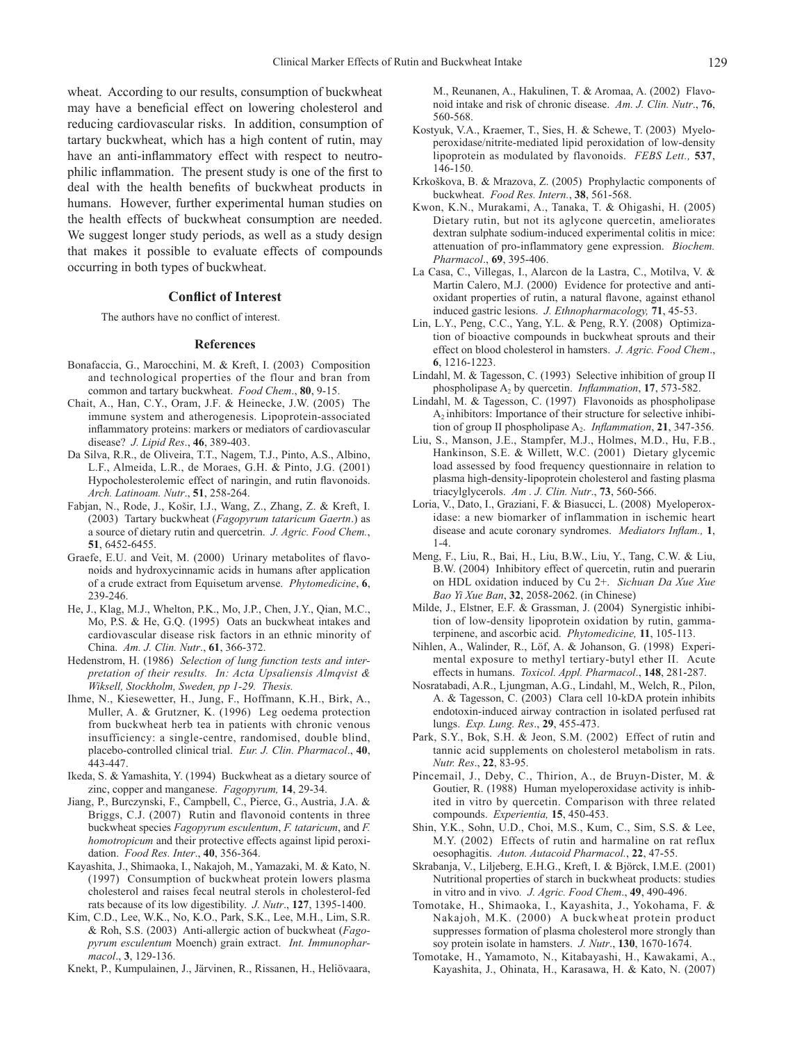wheat. According to our results, consumption of buckwheat may have a beneficial effect on lowering cholesterol and reducing cardiovascular risks. In addition, consumption of tartary buckwheat, which has a high content of rutin, may have an anti-inflammatory effect with respect to neutrophilic inflammation. The present study is one of the first to deal with the health benefits of buckwheat products in humans. However, further experimental human studies on the health effects of buckwheat consumption are needed. We suggest longer study periods, as well as a study design that makes it possible to evaluate effects of compounds occurring in both types of buckwheat.

#### **Conflict of Interest**

The authors have no conflict of interest.

#### **References**

- Bonafaccia, G., Marocchini, M. & Kreft, I. (2003) Composition and technological properties of the flour and bran from common and tartary buckwheat. *Food Chem*., **80**, 9-15.
- Chait, A., Han, C.Y., Oram, J.F. & Heinecke, J.W. (2005) The immune system and atherogenesis. Lipoprotein-associated inflammatory proteins: markers or mediators of cardiovascular disease? *J. Lipid Res*., **46**, 389-403.
- Da Silva, R.R., de Oliveira, T.T., Nagem, T.J., Pinto, A.S., Albino, L.F., Almeida, L.R., de Moraes, G.H. & Pinto, J.G. (2001) Hypocholesterolemic effect of naringin, and rutin flavonoids. *Arch. Latinoam. Nutr*., **51**, 258-264.
- Fabjan, N., Rode, J., Košir, I.J., Wang, Z., Zhang, Z. & Kreft, I. (2003) Tartary buckwheat (*Fagopyrum tataricum Gaertn*.) as a source of dietary rutin and quercetrin. *J. Agric. Food Chem.*, **51**, 6452-6455.
- Graefe, E.U. and Veit, M. (2000) Urinary metabolites of flavonoids and hydroxycinnamic acids in humans after application of a crude extract from Equisetum arvense. *Phytomedicine*, **6**, 239-246.
- He, J., Klag, M.J., Whelton, P.K., Mo, J.P., Chen, J.Y., Qian, M.C., Mo, P.S. & He, G.Q. (1995) Oats an buckwheat intakes and cardiovascular disease risk factors in an ethnic minority of China. *Am. J. Clin. Nutr*., **61**, 366-372.
- Hedenstrom, H. (1986) *Selection of lung function tests and interpretation of their results. In: Acta Upsaliensis Almqvist & Wiksell, Stockholm, Sweden, pp 1-29. Thesis.*
- Ihme, N., Kiesewetter, H., Jung, F., Hoffmann, K.H., Birk, A., Muller, A. & Grutzner, K. (1996) Leg oedema protection from buckwheat herb tea in patients with chronic venous insufficiency: a single-centre, randomised, double blind, placebo-controlled clinical trial. *Eur. J. Clin. Pharmacol*., **40**, 443-447.
- Ikeda, S. & Yamashita, Y. (1994) Buckwheat as a dietary source of zinc, copper and manganese. *Fagopyrum,* **14**, 29-34.
- Jiang, P., Burczynski, F., Campbell, C., Pierce, G., Austria, J.A. & Briggs, C.J. (2007) Rutin and flavonoid contents in three buckwheat species *Fagopyrum esculentum*, *F. tataricum*, and *F. homotropicum* and their protective effects against lipid peroxidation. *Food Res. Inter*., **40**, 356-364.
- Kayashita, J., Shimaoka, I., Nakajoh, M., Yamazaki, M. & Kato, N. (1997) Consumption of buckwheat protein lowers plasma cholesterol and raises fecal neutral sterols in cholesterol-fed rats because of its low digestibility. *J. Nutr*., **127**, 1395-1400.
- Kim, C.D., Lee, W.K., No, K.O., Park, S.K., Lee, M.H., Lim, S.R. & Roh, S.S. (2003) Anti-allergic action of buckwheat (*Fagopyrum esculentum* Moench) grain extract. *Int. Immunopharmacol*., **3**, 129-136.
- Knekt, P., Kumpulainen, J., Järvinen, R., Rissanen, H., Heliövaara,

M., Reunanen, A., Hakulinen, T. & Aromaa, A. (2002) Flavonoid intake and risk of chronic disease. *Am. J. Clin. Nutr*., **76**, 560-568.

- Kostyuk, V.A., Kraemer, T., Sies, H. & Schewe, T. (2003) Myeloperoxidase/nitrite-mediated lipid peroxidation of low-density lipoprotein as modulated by flavonoids. *FEBS Lett.,* **537**, 146-150.
- Krkoškova, B. & Mrazova, Z. (2005) Prophylactic components of buckwheat. *Food Res. Intern.*, **38**, 561-568.
- Kwon, K.N., Murakami, A., Tanaka, T. & Ohigashi, H. (2005) Dietary rutin, but not its aglycone quercetin, ameliorates dextran sulphate sodium-induced experimental colitis in mice: attenuation of pro-inflammatory gene expression. *Biochem. Pharmacol*., **69**, 395-406.
- La Casa, C., Villegas, I., Alarcon de la Lastra, C., Motilva, V. & Martin Calero, M.J. (2000) Evidence for protective and antioxidant properties of rutin, a natural flavone, against ethanol induced gastric lesions. *J. Ethnopharmacology,* **71**, 45-53.
- Lin, L.Y., Peng, C.C., Yang, Y.L. & Peng, R.Y. (2008) Optimization of bioactive compounds in buckwheat sprouts and their effect on blood cholesterol in hamsters. *J. Agric. Food Chem*., **6**, 1216-1223.
- Lindahl, M. & Tagesson, C. (1993) Selective inhibition of group II phospholipase A2 by quercetin. *Inflammation*, **17**, 573-582.
- Lindahl, M. & Tagesson, C. (1997) Flavonoids as phospholipase A2 inhibitors: Importance of their structure for selective inhibition of group II phospholipase A<sub>2</sub>. *Inflammation*, **21**, 347-356.
- Liu, S., Manson, J.E., Stampfer, M.J., Holmes, M.D., Hu, F.B., Hankinson, S.E. & Willett, W.C. (2001) Dietary glycemic load assessed by food frequency questionnaire in relation to plasma high-density-lipoprotein cholesterol and fasting plasma triacylglycerols. *Am . J. Clin. Nutr*., **73**, 560-566.
- Loria, V., Dato, I., Graziani, F. & Biasucci, L. (2008) Myeloperoxidase: a new biomarker of inflammation in ischemic heart disease and acute coronary syndromes. *Mediators Inflam.,* **1**, 1-4.
- Meng, F., Liu, R., Bai, H., Liu, B.W., Liu, Y., Tang, C.W. & Liu, B.W. (2004) Inhibitory effect of quercetin, rutin and puerarin on HDL oxidation induced by Cu 2+. *Sichuan Da Xue Xue Bao Yi Xue Ban*, **32**, 2058-2062. (in Chinese)
- Milde, J., Elstner, E.F. & Grassman, J. (2004) Synergistic inhibition of low-density lipoprotein oxidation by rutin, gammaterpinene, and ascorbic acid. *Phytomedicine,* **11**, 105-113.
- Nihlen, A., Walinder, R., Löf, A. & Johanson, G. (1998) Experimental exposure to methyl tertiary-butyl ether II. Acute effects in humans. *Toxicol. Appl. Pharmacol*., **148**, 281-287.
- Nosratabadi, A.R., Ljungman, A.G., Lindahl, M., Welch, R., Pilon, A. & Tagesson, C. (2003) Clara cell 10-kDA protein inhibits endotoxin-induced airway contraction in isolated perfused rat lungs. *Exp. Lung. Res*., **29**, 455-473.
- Park, S.Y., Bok, S.H. & Jeon, S.M. (2002) Effect of rutin and tannic acid supplements on cholesterol metabolism in rats. *Nutr. Res*., **22**, 83-95.
- Pincemail, J., Deby, C., Thirion, A., de Bruyn-Dister, M. & Goutier, R. (1988) Human myeloperoxidase activity is inhibited in vitro by quercetin. Comparison with three related compounds. *Experientia,* **15**, 450-453.
- Shin, Y.K., Sohn, U.D., Choi, M.S., Kum, C., Sim, S.S. & Lee, M.Y. (2002) Effects of rutin and harmaline on rat reflux oesophagitis. *Auton. Autacoid Pharmacol.*, **22**, 47-55.
- Skrabanja, V., Liljeberg, E.H.G., Kreft, I. & Björck, I.M.E. (2001) Nutritional properties of starch in buckwheat products: studies in vitro and in vivo*. J. Agric. Food Chem*., **49**, 490-496.
- Tomotake, H., Shimaoka, I., Kayashita, J., Yokohama, F. & Nakajoh, M.K. (2000) A buckwheat protein product suppresses formation of plasma cholesterol more strongly than soy protein isolate in hamsters. *J. Nutr*., **130**, 1670-1674.
- Tomotake, H., Yamamoto, N., Kitabayashi, H., Kawakami, A., Kayashita, J., Ohinata, H., Karasawa, H. & Kato, N. (2007)